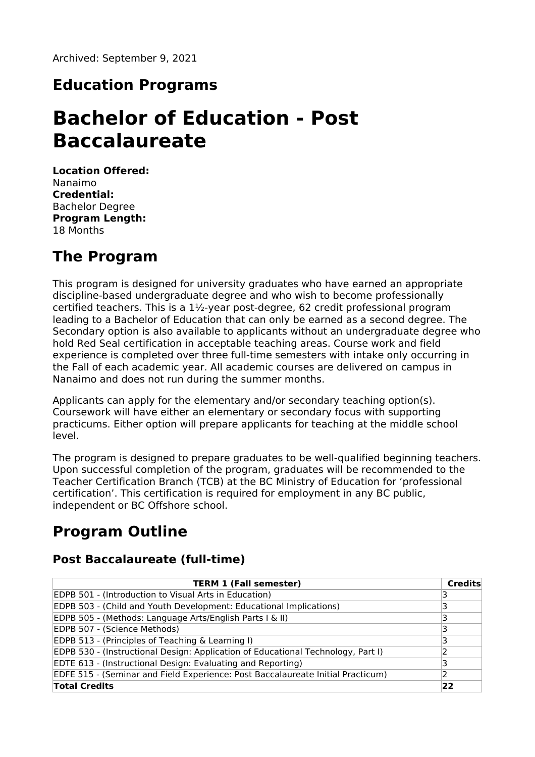## **Education Programs**

# **Bachelor of Education - Post Baccalaureate**

**Location Offered:** Nanaimo **Credential:** Bachelor Degree **Program Length:** 18 Months

## **The Program**

This program is designed for university graduates who have earned an appropriate discipline-based undergraduate degree and who wish to become professionally certified teachers. This is a 1½-year post-degree, 62 credit professional program leading to a Bachelor of Education that can only be earned as a second degree. The Secondary option is also available to applicants without an undergraduate degree who hold Red Seal certification in acceptable teaching areas. Course work and field experience is completed over three full-time semesters with intake only occurring in the Fall of each academic year. All academic courses are delivered on campus in Nanaimo and does not run during the summer months.

Applicants can apply for the elementary and/or secondary teaching option(s). Coursework will have either an elementary or secondary focus with supporting practicums. Either option will prepare applicants for teaching at the middle school level.

The program is designed to prepare graduates to be well-qualified beginning teachers. Upon successful completion of the program, graduates will be recommended to the Teacher Certification Branch (TCB) at the BC Ministry of Education for 'professional certification'. This certification is required for employment in any BC public, independent or BC Offshore school.

# **Program Outline**

### **Post Baccalaureate (full-time)**

| <b>TERM 1 (Fall semester)</b>                                                    | Credits |
|----------------------------------------------------------------------------------|---------|
| EDPB 501 - (Introduction to Visual Arts in Education)                            |         |
| EDPB 503 - (Child and Youth Development: Educational Implications)               |         |
| EDPB 505 - (Methods: Language Arts/English Parts I & II)                         |         |
| EDPB 507 - (Science Methods)                                                     |         |
| EDPB 513 - (Principles of Teaching & Learning I)                                 |         |
| EDPB 530 - (Instructional Design: Application of Educational Technology, Part I) |         |
| EDTE 613 - (Instructional Design: Evaluating and Reporting)                      |         |
| EDFE 515 - (Seminar and Field Experience: Post Baccalaureate Initial Practicum)  |         |
| <b>Total Credits</b>                                                             | 22      |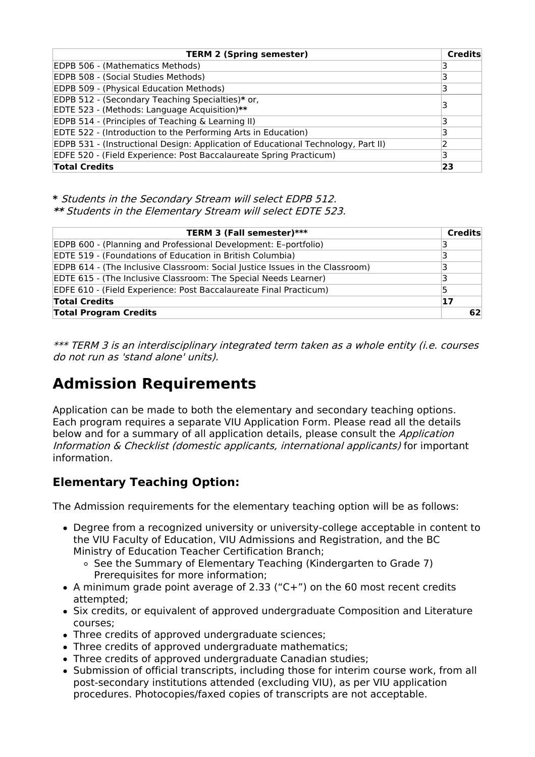| <b>TERM 2 (Spring semester)</b>                                                   | <b>Credits</b> |
|-----------------------------------------------------------------------------------|----------------|
| EDPB 506 - (Mathematics Methods)                                                  |                |
| EDPB 508 - (Social Studies Methods)                                               |                |
| EDPB 509 - (Physical Education Methods)                                           |                |
| EDPB 512 - (Secondary Teaching Specialties)* or,                                  |                |
| EDTE 523 - (Methods: Language Acquisition)**                                      |                |
| EDPB 514 - (Principles of Teaching & Learning II)                                 |                |
| EDTE 522 - (Introduction to the Performing Arts in Education)                     |                |
| EDPB 531 - (Instructional Design: Application of Educational Technology, Part II) |                |
| EDFE 520 - (Field Experience: Post Baccalaureate Spring Practicum)                |                |
| <b>Total Credits</b>                                                              | 23             |

**\*** Students in the Secondary Stream will select EDPB 512. **\*\*** Students in the Elementary Stream will select EDTE 523.

| TERM 3 (Fall semester)***                                                    | <b>Credits</b> |
|------------------------------------------------------------------------------|----------------|
| EDPB 600 - (Planning and Professional Development: E-portfolio)              | 3              |
| EDTE 519 - (Foundations of Education in British Columbia)                    |                |
| EDPB 614 - (The Inclusive Classroom: Social Justice Issues in the Classroom) | 3              |
| <b>EDTE 615 - (The Inclusive Classroom: The Special Needs Learner)</b>       | 3              |
| EDFE 610 - (Field Experience: Post Baccalaureate Final Practicum)            | 5              |
| <b>Total Credits</b>                                                         | 17             |
| <b>Total Program Credits</b>                                                 | 62             |

\*\*\* TERM 3 is an interdisciplinary integrated term taken as <sup>a</sup> whole entity (i.e. courses do not run as 'stand alone' units).

# **Admission Requirements**

Application can be made to both the elementary and secondary teaching options. Each program requires a separate VIU Application Form. Please read all the details below and for a summary of all application details, please consult the Application Information & Checklist (domestic applicants, international applicants) for important information.

### **Elementary Teaching Option:**

The Admission requirements for the elementary teaching option will be as follows:

- Degree from a recognized university or university-college acceptable in content to the VIU Faculty of Education, VIU Admissions and Registration, and the BC Ministry of Education Teacher Certification Branch;
	- o See the Summary of Elementary Teaching (Kindergarten to Grade 7) Prerequisites for more information;
- A minimum grade point average of 2.33 ("C+") on the 60 most recent credits attempted;
- Six credits, or equivalent of approved undergraduate Composition and Literature courses;
- Three credits of approved undergraduate sciences;
- Three credits of approved undergraduate mathematics;
- Three credits of approved undergraduate Canadian studies;
- Submission of official transcripts, including those for interim course work, from all post-secondary institutions attended (excluding VIU), as per VIU application procedures. Photocopies/faxed copies of transcripts are not acceptable.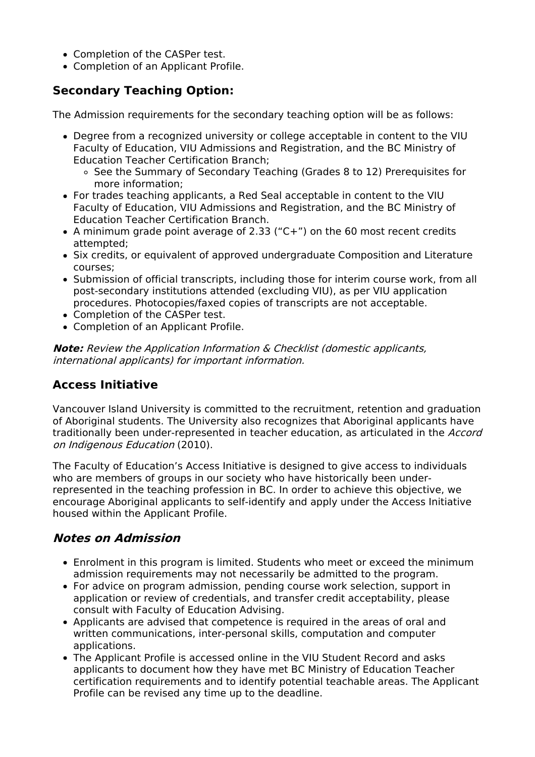- Completion of the CASPer test.
- Completion of an Applicant Profile.

### **Secondary Teaching Option:**

The Admission requirements for the secondary teaching option will be as follows:

- Degree from a recognized university or college acceptable in content to the VIU Faculty of Education, VIU Admissions and Registration, and the BC Ministry of Education Teacher Certification Branch;
	- o See the Summary of Secondary Teaching (Grades 8 to 12) Prerequisites for more information;
- For trades teaching applicants, a Red Seal acceptable in content to the VIU Faculty of Education, VIU Admissions and Registration, and the BC Ministry of Education Teacher Certification Branch.
- A minimum grade point average of 2.33 ("C+") on the 60 most recent credits attempted;
- Six credits, or equivalent of approved undergraduate Composition and Literature courses;
- Submission of official transcripts, including those for interim course work, from all post-secondary institutions attended (excluding VIU), as per VIU application procedures. Photocopies/faxed copies of transcripts are not acceptable.
- Completion of the CASPer test.
- Completion of an Applicant Profile.

**Note:** Review the Application Information & Checklist (domestic applicants, international applicants) for important information.

### **Access Initiative**

Vancouver Island University is committed to the recruitment, retention and graduation of Aboriginal students. The University also recognizes that Aboriginal applicants have traditionally been under-represented in teacher education, as articulated in the Accord on Indigenous Education (2010).

The Faculty of Education's Access Initiative is designed to give access to individuals who are members of groups in our society who have historically been underrepresented in the teaching profession in BC. In order to achieve this objective, we encourage Aboriginal applicants to self-identify and apply under the Access Initiative housed within the Applicant Profile.

### **Notes on Admission**

- Enrolment in this program is limited. Students who meet or exceed the minimum admission requirements may not necessarily be admitted to the program.
- For advice on program admission, pending course work selection, support in application or review of credentials, and transfer credit acceptability, please consult with Faculty of Education Advising.
- Applicants are advised that competence is required in the areas of oral and written communications, inter-personal skills, computation and computer applications.
- The Applicant Profile is accessed online in the VIU Student Record and asks applicants to document how they have met BC Ministry of Education Teacher certification requirements and to identify potential teachable areas. The Applicant Profile can be revised any time up to the deadline.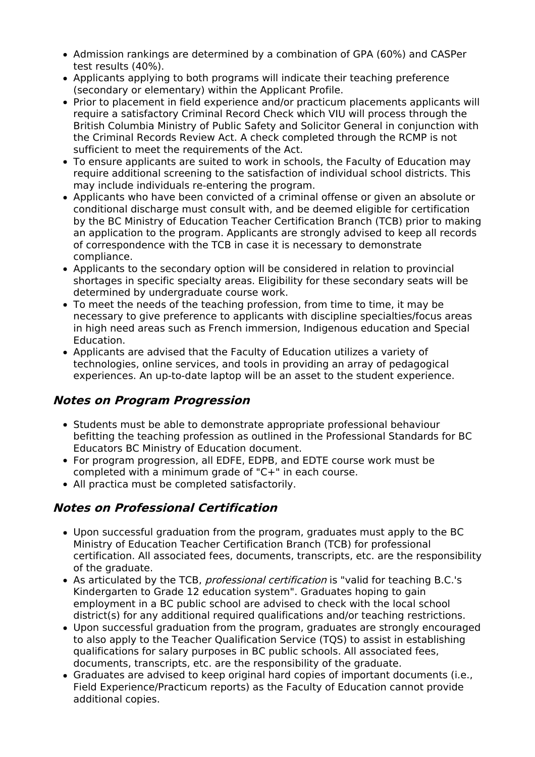- Admission rankings are determined by a combination of GPA (60%) and CASPer test results (40%).
- Applicants applying to both programs will indicate their teaching preference (secondary or elementary) within the Applicant Profile.
- Prior to placement in field experience and/or practicum placements applicants will require a satisfactory Criminal Record Check which VIU will process through the British Columbia Ministry of Public Safety and Solicitor General in conjunction with the Criminal Records Review Act. A check completed through the RCMP is not sufficient to meet the requirements of the Act.
- To ensure applicants are suited to work in schools, the Faculty of Education may require additional screening to the satisfaction of individual school districts. This may include individuals re-entering the program.
- Applicants who have been convicted of a criminal offense or given an absolute or conditional discharge must consult with, and be deemed eligible for certification by the BC Ministry of Education Teacher Certification Branch (TCB) prior to making an application to the program. Applicants are strongly advised to keep all records of correspondence with the TCB in case it is necessary to demonstrate compliance.
- Applicants to the secondary option will be considered in relation to provincial shortages in specific specialty areas. Eligibility for these secondary seats will be determined by undergraduate course work.
- To meet the needs of the teaching profession, from time to time, it may be necessary to give preference to applicants with discipline specialties/focus areas in high need areas such as French immersion, Indigenous education and Special Education.
- Applicants are advised that the Faculty of Education utilizes a variety of technologies, online services, and tools in providing an array of pedagogical experiences. An up-to-date laptop will be an asset to the student experience.

### **Notes on Program Progression**

- Students must be able to demonstrate appropriate professional behaviour befitting the teaching profession as outlined in the Professional Standards for BC Educators BC Ministry of Education document.
- For program progression, all EDFE, EDPB, and EDTE course work must be completed with a minimum grade of "C+" in each course.
- All practica must be completed satisfactorily.

### **Notes on Professional Certification**

- Upon successful graduation from the program, graduates must apply to the BC Ministry of Education Teacher Certification Branch (TCB) for professional certification. All associated fees, documents, transcripts, etc. are the responsibility of the graduate.
- As articulated by the TCB, professional certification is "valid for teaching B.C.'s Kindergarten to Grade 12 education system". Graduates hoping to gain employment in a BC public school are advised to check with the local school district(s) for any additional required qualifications and/or teaching restrictions.
- Upon successful graduation from the program, graduates are strongly encouraged to also apply to the Teacher Qualification Service (TQS) to assist in establishing qualifications for salary purposes in BC public schools. All associated fees, documents, transcripts, etc. are the responsibility of the graduate.
- Graduates are advised to keep original hard copies of important documents (i.e., Field Experience/Practicum reports) as the Faculty of Education cannot provide additional copies.